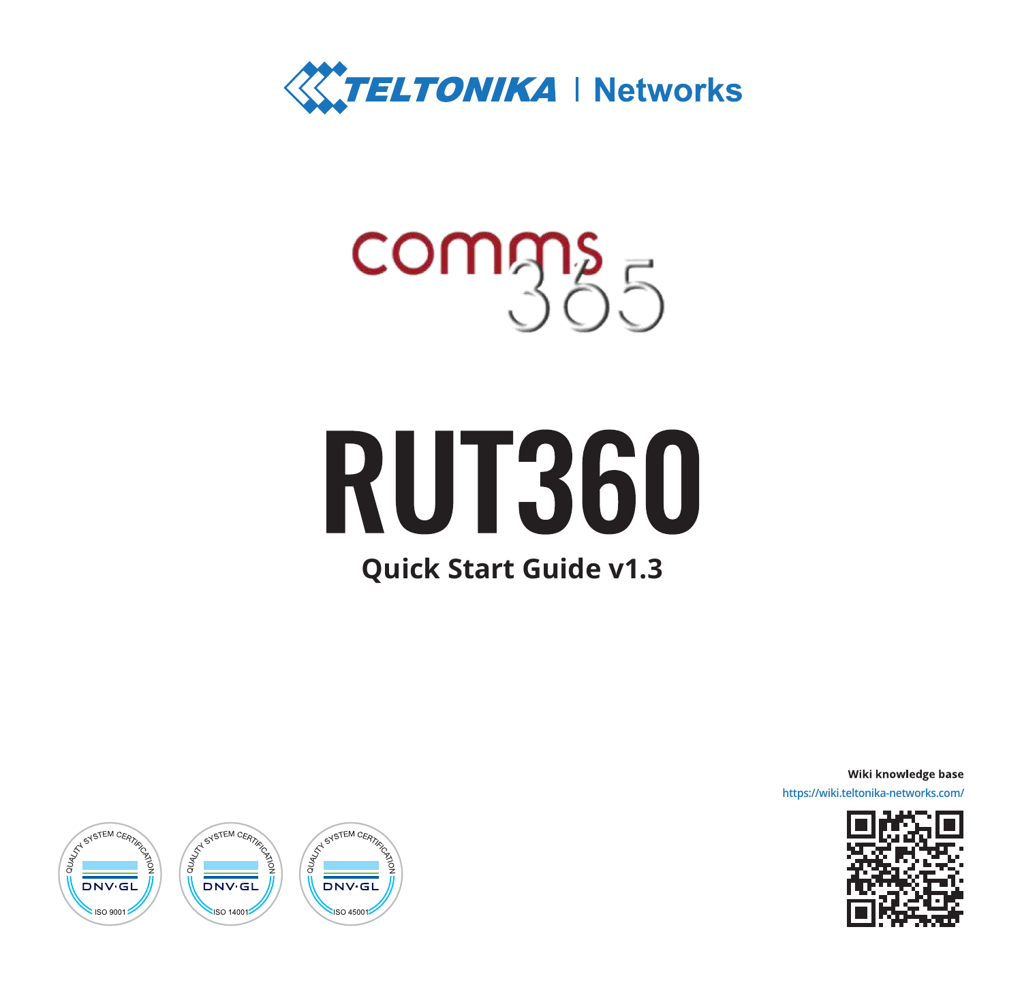

## comms

# **RUT360**

### **Quick Start Guide v1.3**

Wiki knowledge base **https://wiki.teltonika-networks.com/**



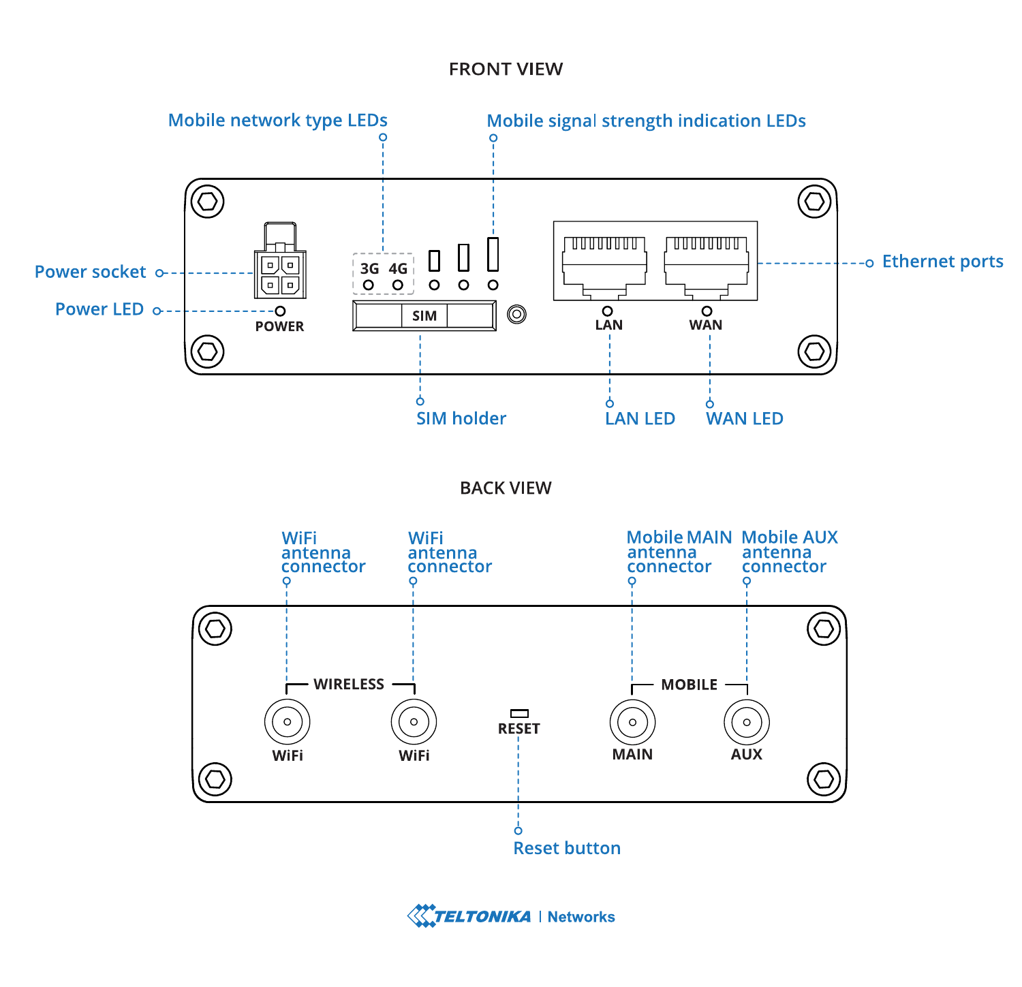#### **FRONT VIEW**



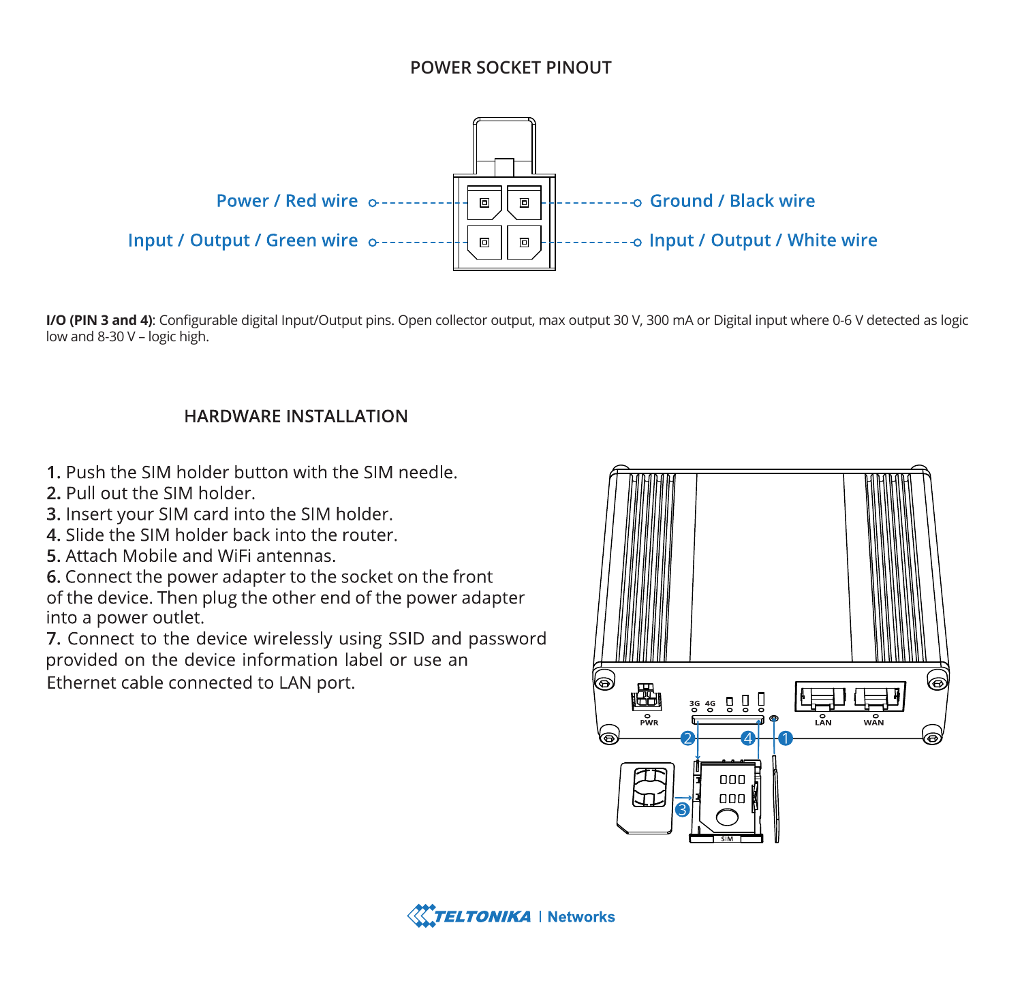#### POWER SOCKET PINOUT



I/O (PIN 3 and 4): Configurable digital Input/Output pins. Open collector output, max output 30 V, 300 mA or Digital input where 0-6 V detected as logic low and 8-30 V - logic high.

#### **HARDWARE INSTALLATION**

- 1 Push the SIM holder button with the SIM needle
- 2. Pull out the SIM holder.
- 3. Insert your SIM card into the SIM holder.
- 4. Slide the SIM holder back into the router.
- 5. Attach Mobile and WiFi antennas

6. Connect the power adapter to the socket on the front of the device. Then plug the other end of the power adapter into a power outlet.

7. Connect to the device wirelessly using SSID and password provided on the device information label or use an Ethernet cable connected to LAN port.



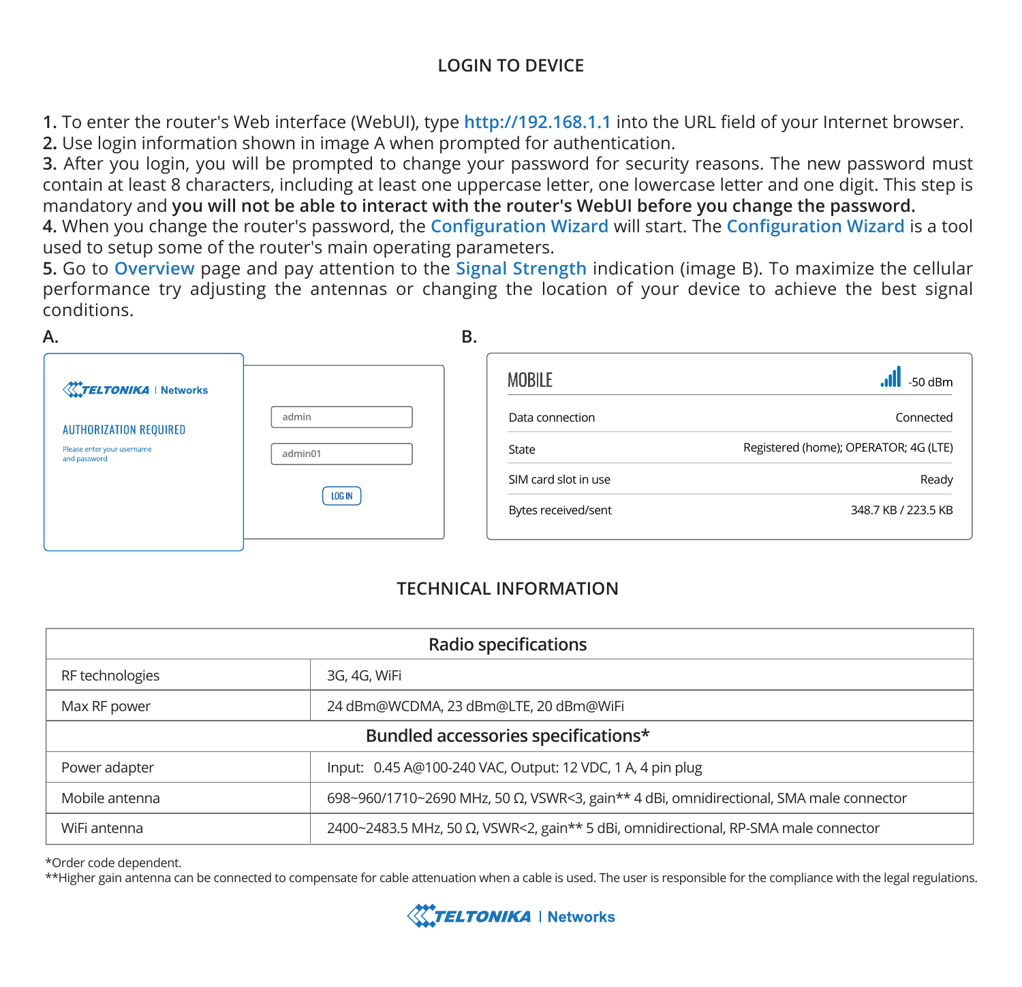#### **LOGIN TO DEVICE**

**1.** To enter the router's Web interface (WebUI), type **http://192.168.1.1** into the URL field of your Internet browser. **2.** Use login information shown in image A when prompted for authentication.

**3.** After you login, you will be prompted to change your password for security reasons. The new password must contain at least 8 characters, including at least one uppercase letter, one lowercase letter and one digit. This step is mandatory and **you will not be able to interact with the router's WebUI before you change the password.**

**4.** When you change the router's password, the **Configuration Wizard** will start. The **Configuration Wizard** is a tool used to setup some of the router's main operating parameters.

**5.** Go to **Overview** page and pay attention to the **Signal Strength** indication (image B). To maximize the cellular performance try adjusting the antennas or changing the location of your device to achieve the best signal conditions.

| А.                                         |               | В. |                      |                                       |
|--------------------------------------------|---------------|----|----------------------|---------------------------------------|
| <b>XXYELTONIKA   Networks</b>              |               |    | MOBILE               | $-50$ dBm                             |
| <b>AUTHORIZATION REQUIRED</b>              | admin         |    | Data connection      | Connected                             |
| Please enter your username<br>and password | admin01       |    | State                | Registered (home); OPERATOR; 4G (LTE) |
|                                            | <b>LOG IN</b> |    | SIM card slot in use | Ready                                 |
|                                            |               |    | Bytes received/sent  | 348.7 KB / 223.5 KB                   |
|                                            |               |    |                      |                                       |

#### **TECHNICAL INFORMATION**

| Radio specifications                |                                                                                        |  |  |
|-------------------------------------|----------------------------------------------------------------------------------------|--|--|
| RF technologies                     | 3G, 4G, WiFi                                                                           |  |  |
| Max RF power                        | 24 dBm@WCDMA, 23 dBm@LTE, 20 dBm@WiFi                                                  |  |  |
| Bundled accessories specifications* |                                                                                        |  |  |
| Power adapter                       | Input: 0.45 A@100-240 VAC, Output: 12 VDC, 1 A, 4 pin plug                             |  |  |
| Mobile antenna                      | 698~960/1710~2690 MHz, 50 Ω, VSWR<3, gain** 4 dBi, omnidirectional, SMA male connector |  |  |
| WiFi antenna                        | 2400~2483.5 MHz, 50 Ω, VSWR<2, gain** 5 dBi, omnidirectional, RP-SMA male connector    |  |  |

\*Order code dependent.

\*\*Higher gain antenna can be connected to compensate for cable attenuation when a cable is used. The user is responsible for the compliance with the legal regulations.

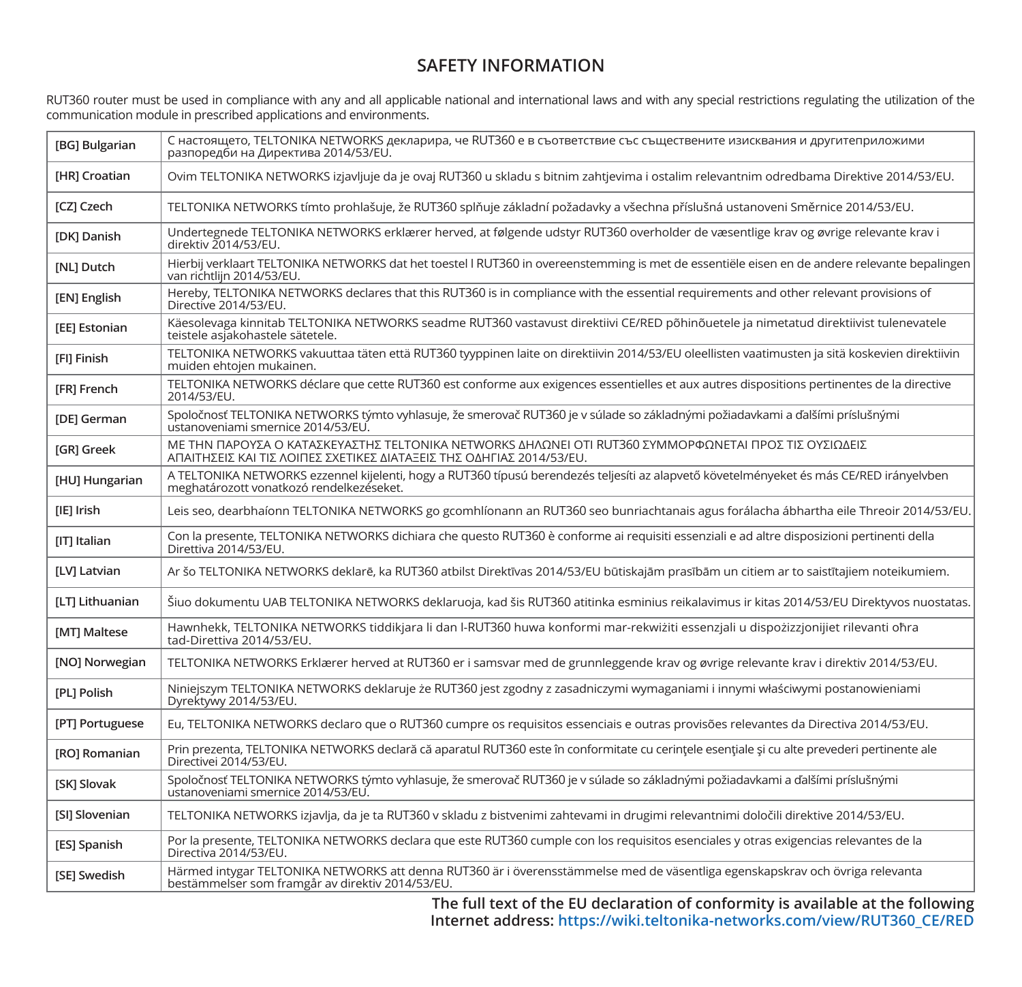#### **SAFETY INFORMATION**

RUT360 router must be used in compliance with any and all applicable national and international laws and with any special restrictions regulating the utilization of the communication module in prescribed applications and environments.

| <b>IBGI Bulgarian</b>  | С настоящето, TELTONIKA NETWORKS декларира, че RUT360 е в съответствие със съществените изисквания и другитеприложими<br>разпоредби на Директива 2014/53/EU.                         |
|------------------------|--------------------------------------------------------------------------------------------------------------------------------------------------------------------------------------|
| [HR] Croatian          | Ovim TELTONIKA NETWORKS izjavljuje da je ovaj RUT360 u skladu s bitnim zahtjevima i ostalim relevantnim odredbama Direktive 2014/53/EU.                                              |
| [CZ] Czech             | TELTONIKA NETWORKS tímto prohlašuje, že RUT360 splňuje základní požadavky a všechna příslušná ustanoveni Směrnice 2014/53/EU.                                                        |
| <b>IDKI Danish</b>     | Undertegnede TELTONIKA NETWORKS erklærer herved, at følgende udstyr RUT360 overholder de væsentlige krav og øvrige relevante krav i<br>direktiv 2014/53/EU.                          |
| [NL] Dutch             | Hierbij verklaart TELTONIKA NETWORKS dat het toestel I RUT360 in overeenstemming is met de essentiële eisen en de andere relevante bepalingen<br>van richtlijn 2014/53/EU.           |
| [EN] English           | Hereby, TELTONIKA NETWORKS declares that this RUT360 is in compliance with the essential requirements and other relevant provisions of<br>Directive 2014/53/EU.                      |
| [EE] Estonian          | Käesolevaga kinnitab TELTONIKA NETWORKS seadme RUT360 vastavust direktiivi CE/RED põhinõuetele ja nimetatud direktiivist tulenevatele<br>teistele asiakohastele sätetele.            |
| [FI] Finish            | TELTONIKA NETWORKS vakuuttaa täten että RUT360 tyyppinen laite on direktiivin 2014/53/EU oleellisten vaatimusten ja sitä koskevien direktiivin<br>muiden ehtoien mukainen.           |
| [FR] French            | TELTONIKA NETWORKS déclare que cette RUT360 est conforme aux exigences essentielles et aux autres dispositions pertinentes de la directive<br>2014/53/EU.                            |
| <b>IDEI</b> German     | Spoločnosť TELTONIKA NETWORKS týmto vyhlasuje, že smerovač RUT360 je v súlade so základnými požiadavkami a ďalšími príslušnými<br>ustanoveniami smernice 2014/53/EU.                 |
| [GR] Greek             | ΜΕ ΤΗΝ ΠΑΡΟΥΣΑ Ο ΚΑΤΑΣΚΕΥΑΣΤΗΣ ΤΕLΤΟΝΙΚΑ ΝΕΤWORKS ΔΗΛΩΝΕΙ ΟΤΙ RUT360 ΣΥΜΜΟΡΦΩΝΕΤΑΙ ΠΡΟΣ ΤΙΣ ΟΥΣΙΩΔΕΙΣ<br>ΑΠΑΙΤΗΣΕΙΣ ΚΑΙ ΤΙΣ ΛΟΙΠΕΣ ΣΧΕΤΙΚΕΣ ΔΙΑΤΑΞΕΙΣ ΤΗΣ ΟΔΗΓΙΑΣ 2014/53/ΕU.        |
| [HU] Hungarian         | A TELTONIKA NETWORKS ezzennel kijelenti, hogy a RUT360 típusú berendezés teljesíti az alapvető követelményeket és más CE/RED irányelvben<br>meghatározott vonatkozó rendelkezéseket. |
| [IE] Irish             | Leis seo, dearbhaíonn TELTONIKA NETWORKS go gcomhlíonann an RUT360 seo bunriachtanais agus forálacha ábhartha eile Threoir 2014/53/EU.                                               |
| <b>ITI Italian</b>     | Con la presente, TELTONIKA NETWORKS dichiara che questo RUT360 è conforme ai requisiti essenziali e ad altre disposizioni pertinenti della<br>Direttiva 2014/53/EU.                  |
| <b>ILVI Latvian</b>    | Ar šo TELTONIKA NETWORKS deklarē, ka RUT360 atbilst Direktīvas 2014/53/EU būtiskajām prasībām un citiem ar to saistītajiem noteikumiem.                                              |
| <b>ILTI Lithuanian</b> | Šiuo dokumentu UAB TELTONIKA NETWORKS deklaruoja, kad šis RUT360 atitinka esminius reikalavimus ir kitas 2014/53/EU Direktyvos nuostatas.                                            |
| [MT] Maltese           | Hawnhekk, TELTONIKA NETWORKS tiddikjara li dan I-RUT360 huwa konformi mar-rekwiżiti essenzjali u dispożizzjonijiet rilevanti ohra<br>tad-Direttiva 2014/53/EU.                       |
| [NO] Norwegian         | TELTONIKA NETWORKS Erklærer herved at RUT360 er i samsvar med de grunnleggende krav og øvrige relevante krav i direktiv 2014/53/EU.                                                  |
| [PL] Polish            | Niniejszym TELTONIKA NETWORKS deklaruje że RUT360 jest zgodny z zasadniczymi wymaganiami i innymi właściwymi postanowieniami<br>Dyrektywy 2014/53/EU.                                |
| [PT] Portuguese        | Eu, TELTONIKA NETWORKS declaro que o RUT360 cumpre os requisitos essenciais e outras provisões relevantes da Directiva 2014/53/EU.                                                   |
| [RO] Romanian          | Prin prezenta, TELTONIKA NETWORKS declară că aparatul RUT360 este în conformitate cu cerințele esențiale și cu alte prevederi pertinente ale<br>Directivei 2014/53/EU.               |
| <b>ISKI Slovak</b>     | Spoločnosť TELTONIKA NETWORKS týmto vyhlasuje, že smerovač RUT360 je v súlade so základnými požiadavkami a ďalšími príslušnými<br>ustanoveniami smernice 2014/53/EU.                 |
| [SI] Slovenian         | TELTONIKA NETWORKS izjavlja, da je ta RUT360 v skladu z bistvenimi zahtevami in drugimi relevantnimi določili direktive 2014/53/EU.                                                  |
| [ES] Spanish           | Por la presente, TELTONIKA NETWORKS declara que este RUT360 cumple con los requisitos esenciales y otras exigencias relevantes de la<br>Directiva 2014/53/EU.                        |
| <b>ISEI Swedish</b>    | Härmed intygar TELTONIKA NETWORKS att denna RUT360 är i överensstämmelse med de väsentliga egenskapskrav och övriga relevanta<br>bestämmelser som framgår av direktiv 2014/53/EU.    |

**The full text of the EU declaration of conformity is available at the following Internet address: https://wiki.teltonika-networks.com/view/RUT360\_CE/RED**